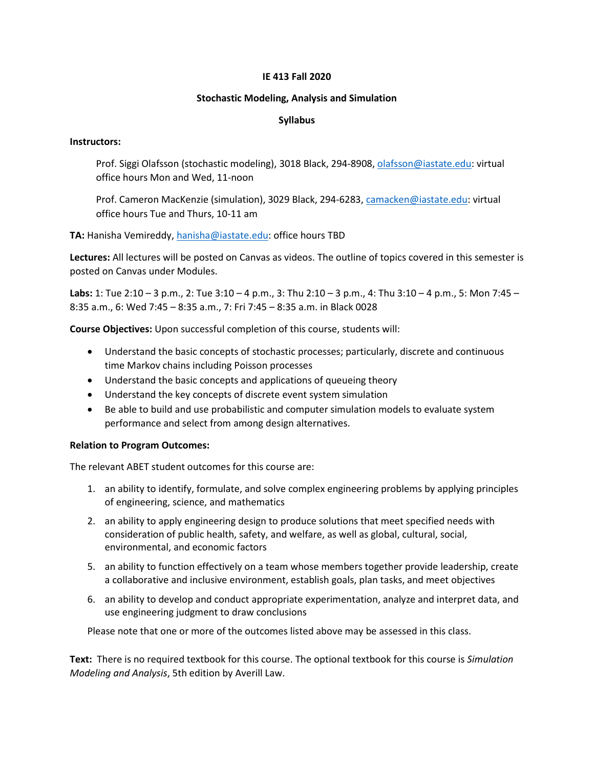#### **IE 413 Fall 2020**

#### **Stochastic Modeling, Analysis and Simulation**

#### **Syllabus**

#### **Instructors:**

Prof. Siggi Olafsson (stochastic modeling), 3018 Black, 294-8908, [olafsson@iastate.edu:](mailto:olafsson@iastate.edu) virtual office hours Mon and Wed, 11-noon

Prof. Cameron MacKenzie (simulation), 3029 Black, 294-6283, [camacken@iastate.edu:](mailto:camacken@iastate.edu) virtual office hours Tue and Thurs, 10-11 am

**TA:** Hanisha Vemireddy, [hanisha@iastate.edu:](mailto:hanisha@iastate.edu) office hours TBD

**Lectures:** All lectures will be posted on Canvas as videos. The outline of topics covered in this semester is posted on Canvas under Modules.

**Labs:** 1: Tue 2:10 – 3 p.m., 2: Tue 3:10 – 4 p.m., 3: Thu 2:10 – 3 p.m., 4: Thu 3:10 – 4 p.m., 5: Mon 7:45 – 8:35 a.m., 6: Wed 7:45 – 8:35 a.m., 7: Fri 7:45 – 8:35 a.m. in Black 0028

**Course Objectives:** Upon successful completion of this course, students will:

- Understand the basic concepts of stochastic processes; particularly, discrete and continuous time Markov chains including Poisson processes
- Understand the basic concepts and applications of queueing theory
- Understand the key concepts of discrete event system simulation
- Be able to build and use probabilistic and computer simulation models to evaluate system performance and select from among design alternatives.

# **Relation to Program Outcomes:**

The relevant ABET student outcomes for this course are:

- 1. an ability to identify, formulate, and solve complex engineering problems by applying principles of engineering, science, and mathematics
- 2. an ability to apply engineering design to produce solutions that meet specified needs with consideration of public health, safety, and welfare, as well as global, cultural, social, environmental, and economic factors
- 5. an ability to function effectively on a team whose members together provide leadership, create a collaborative and inclusive environment, establish goals, plan tasks, and meet objectives
- 6. an ability to develop and conduct appropriate experimentation, analyze and interpret data, and use engineering judgment to draw conclusions

Please note that one or more of the outcomes listed above may be assessed in this class.

**Text:** There is no required textbook for this course. The optional textbook for this course is *Simulation Modeling and Analysis*, 5th edition by Averill Law.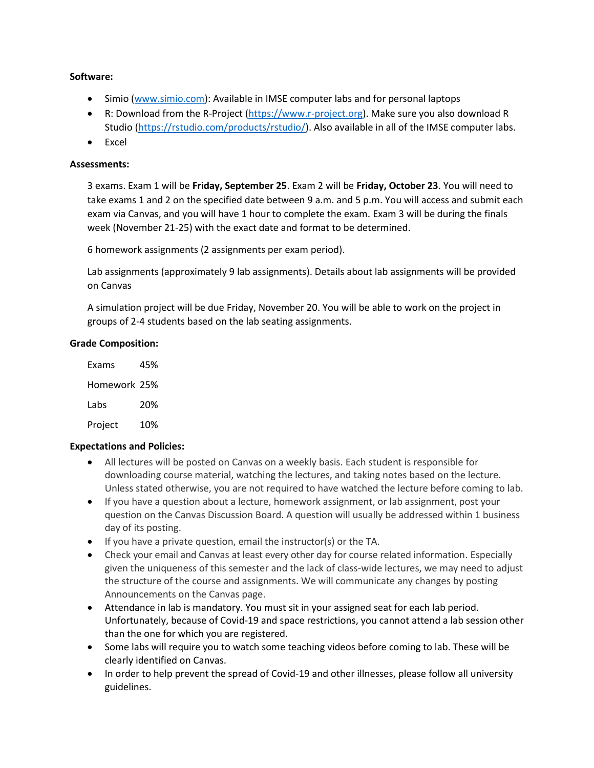# **Software:**

- Simio [\(www.simio.com\)](http://www.simio.com/): Available in IMSE computer labs and for personal laptops
- R: Download from the R-Project [\(https://www.r-project.org\)](https://www.r-project.org/). Make sure you also download R Studio [\(https://rstudio.com/products/rstudio/\)](https://rstudio.com/products/rstudio/). Also available in all of the IMSE computer labs.
- Excel

# **Assessments:**

3 exams. Exam 1 will be **Friday, September 25**. Exam 2 will be **Friday, October 23**. You will need to take exams 1 and 2 on the specified date between 9 a.m. and 5 p.m. You will access and submit each exam via Canvas, and you will have 1 hour to complete the exam. Exam 3 will be during the finals week (November 21-25) with the exact date and format to be determined.

6 homework assignments (2 assignments per exam period).

Lab assignments (approximately 9 lab assignments). Details about lab assignments will be provided on Canvas

A simulation project will be due Friday, November 20. You will be able to work on the project in groups of 2-4 students based on the lab seating assignments.

# **Grade Composition:**

| Exams        | 45% |
|--------------|-----|
| Homework 25% |     |
| Labs         | 20% |
| Project      | 10% |

# **Expectations and Policies:**

- All lectures will be posted on Canvas on a weekly basis. Each student is responsible for downloading course material, watching the lectures, and taking notes based on the lecture. Unless stated otherwise, you are not required to have watched the lecture before coming to lab.
- If you have a question about a lecture, homework assignment, or lab assignment, post your question on the Canvas Discussion Board. A question will usually be addressed within 1 business day of its posting.
- If you have a private question, email the instructor(s) or the TA.
- Check your email and Canvas at least every other day for course related information. Especially given the uniqueness of this semester and the lack of class-wide lectures, we may need to adjust the structure of the course and assignments. We will communicate any changes by posting Announcements on the Canvas page.
- Attendance in lab is mandatory. You must sit in your assigned seat for each lab period. Unfortunately, because of Covid-19 and space restrictions, you cannot attend a lab session other than the one for which you are registered.
- Some labs will require you to watch some teaching videos before coming to lab. These will be clearly identified on Canvas.
- In order to help prevent the spread of Covid-19 and other illnesses, please follow all university guidelines.